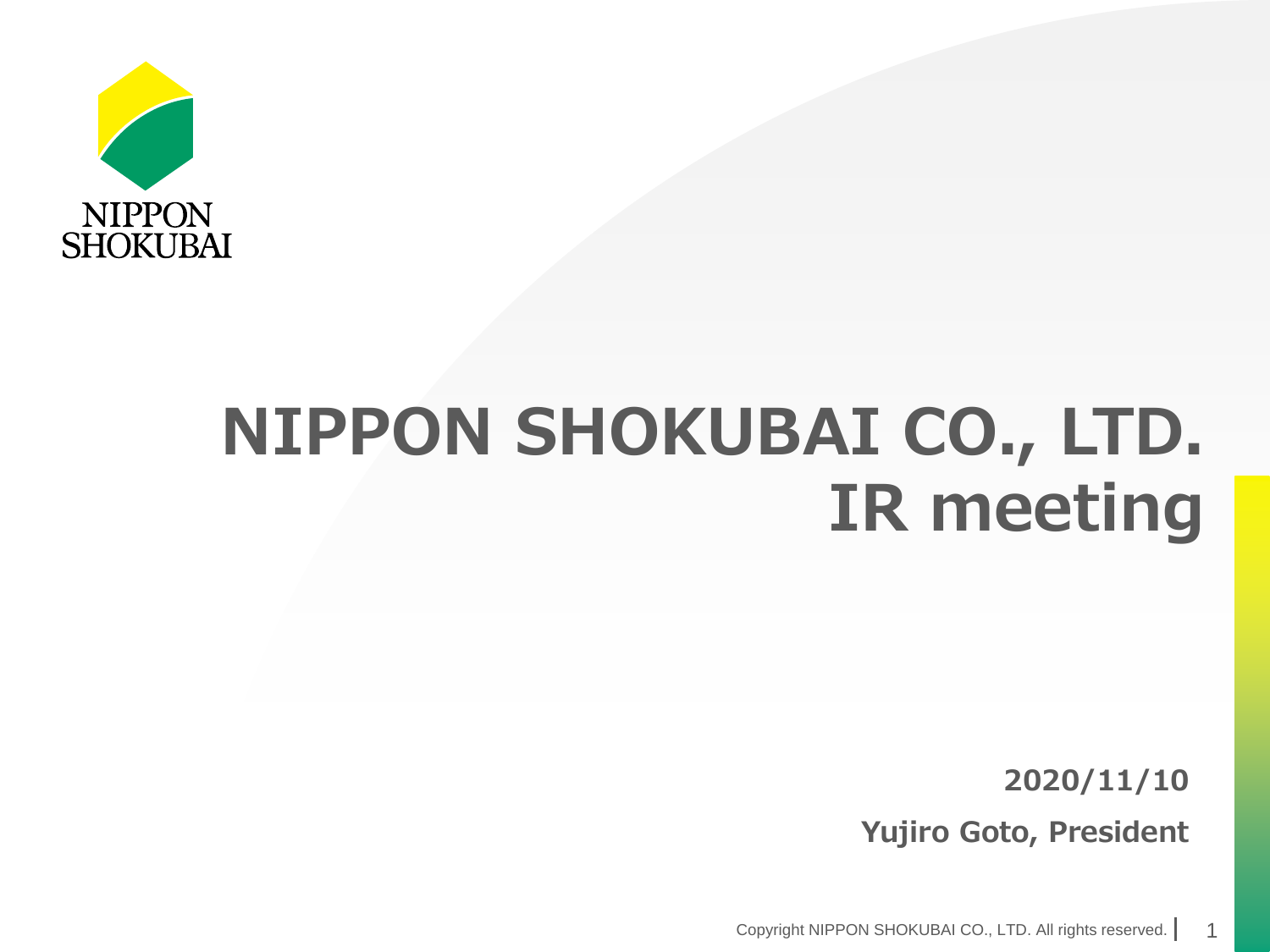

# **NIPPON SHOKUBAI CO., LTD. IR meeting**

**2020/11/10 Yujiro Goto, President**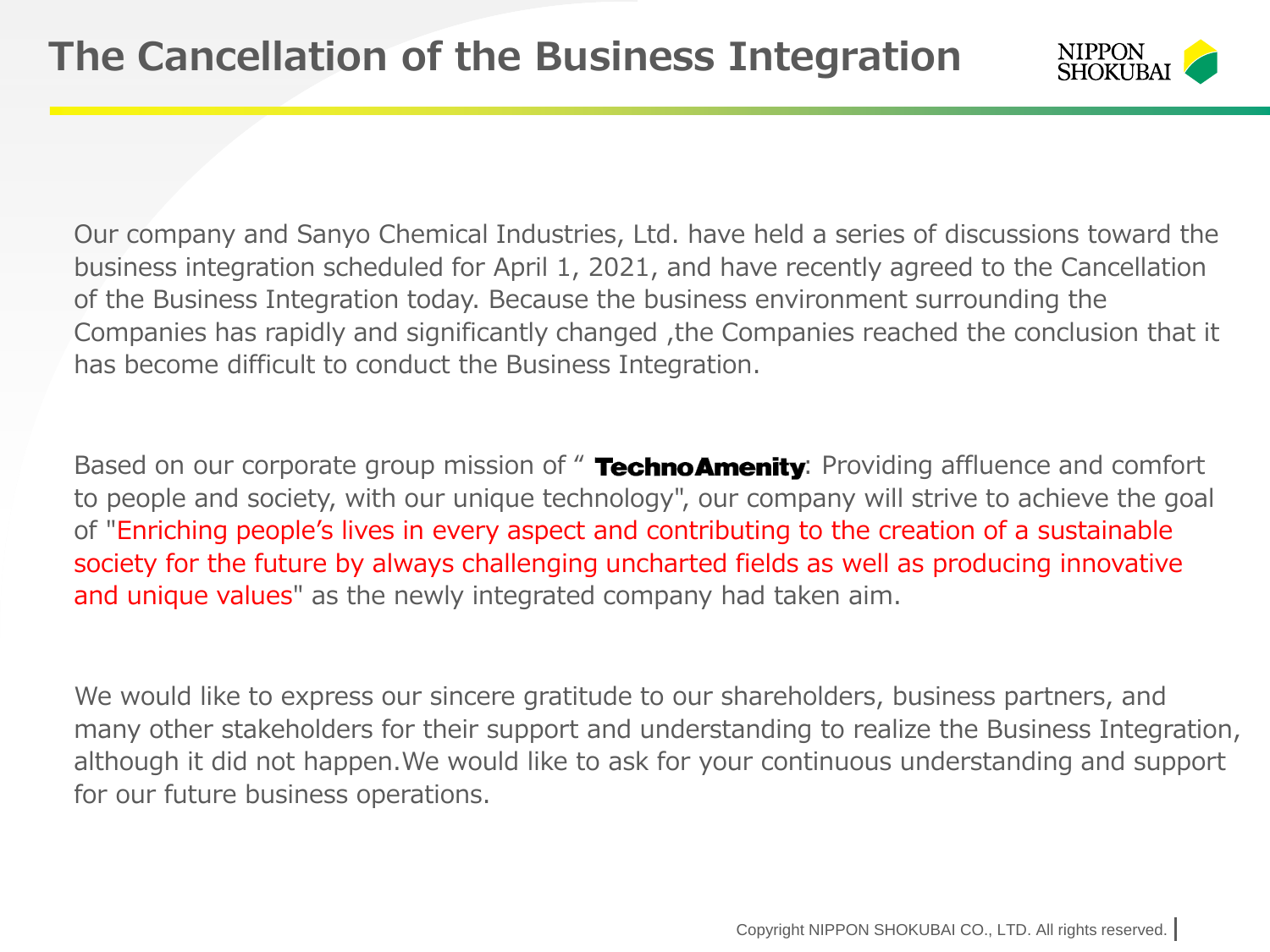

Our company and Sanyo Chemical Industries, Ltd. have held a series of discussions toward the business integration scheduled for April 1, 2021, and have recently agreed to the Cancellation of the Business Integration today. Because the business environment surrounding the Companies has rapidly and significantly changed ,the Companies reached the conclusion that it has become difficult to conduct the Business Integration.

Based on our corporate group mission of " TechnoAmenity: Providing affluence and comfort to people and society, with our unique technology", our company will strive to achieve the goal of "Enriching people's lives in every aspect and contributing to the creation of a sustainable society for the future by always challenging uncharted fields as well as producing innovative and unique values" as the newly integrated company had taken aim.

We would like to express our sincere gratitude to our shareholders, business partners, and many other stakeholders for their support and understanding to realize the Business Integration, although it did not happen.We would like to ask for your continuous understanding and support for our future business operations.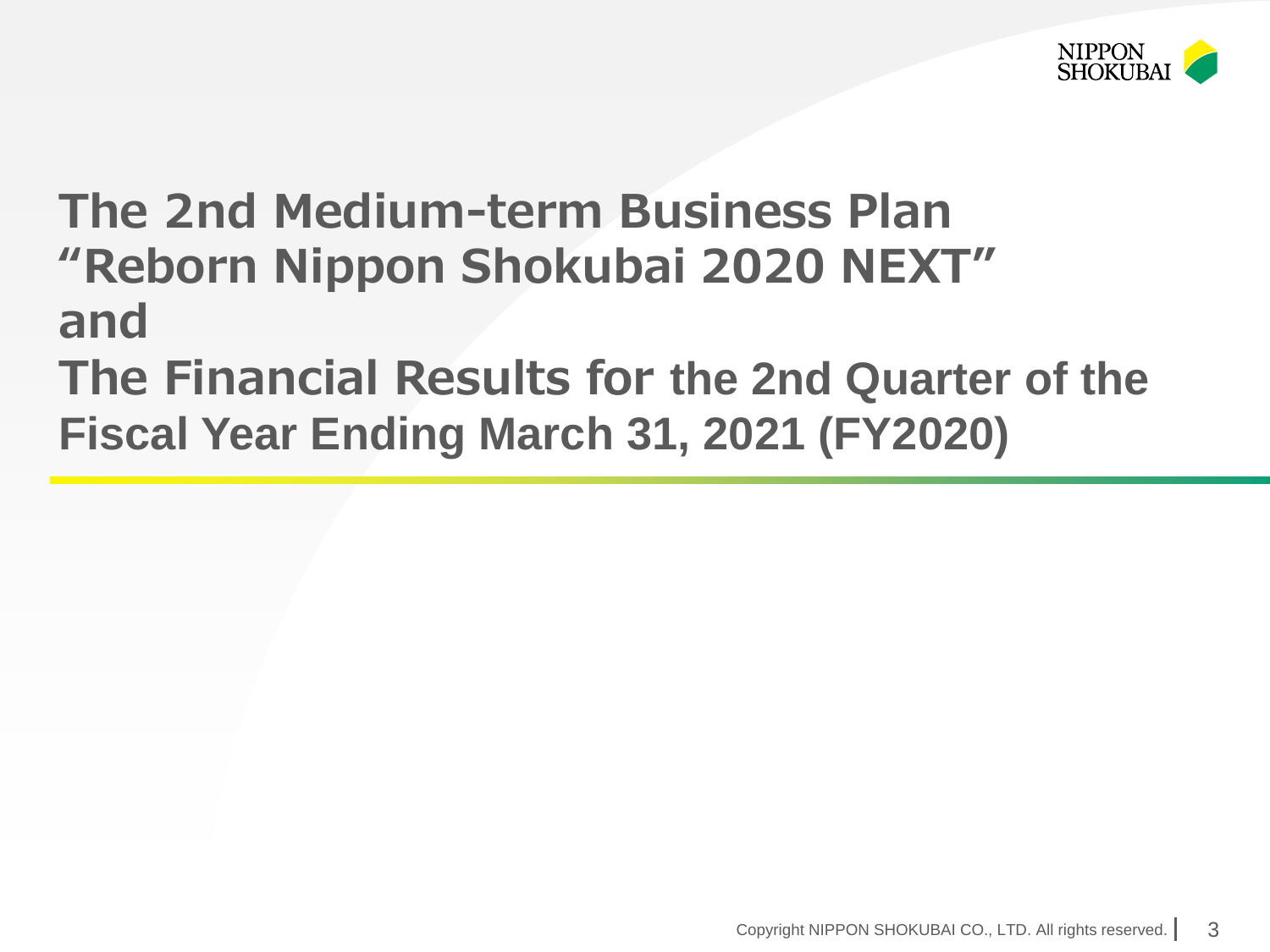

# **The 2nd Medium-term Business Plan "Reborn Nippon Shokubai 2020 NEXT" and**

**The Financial Results for the 2nd Quarter of the Fiscal Year Ending March 31, 2021 (FY2020)**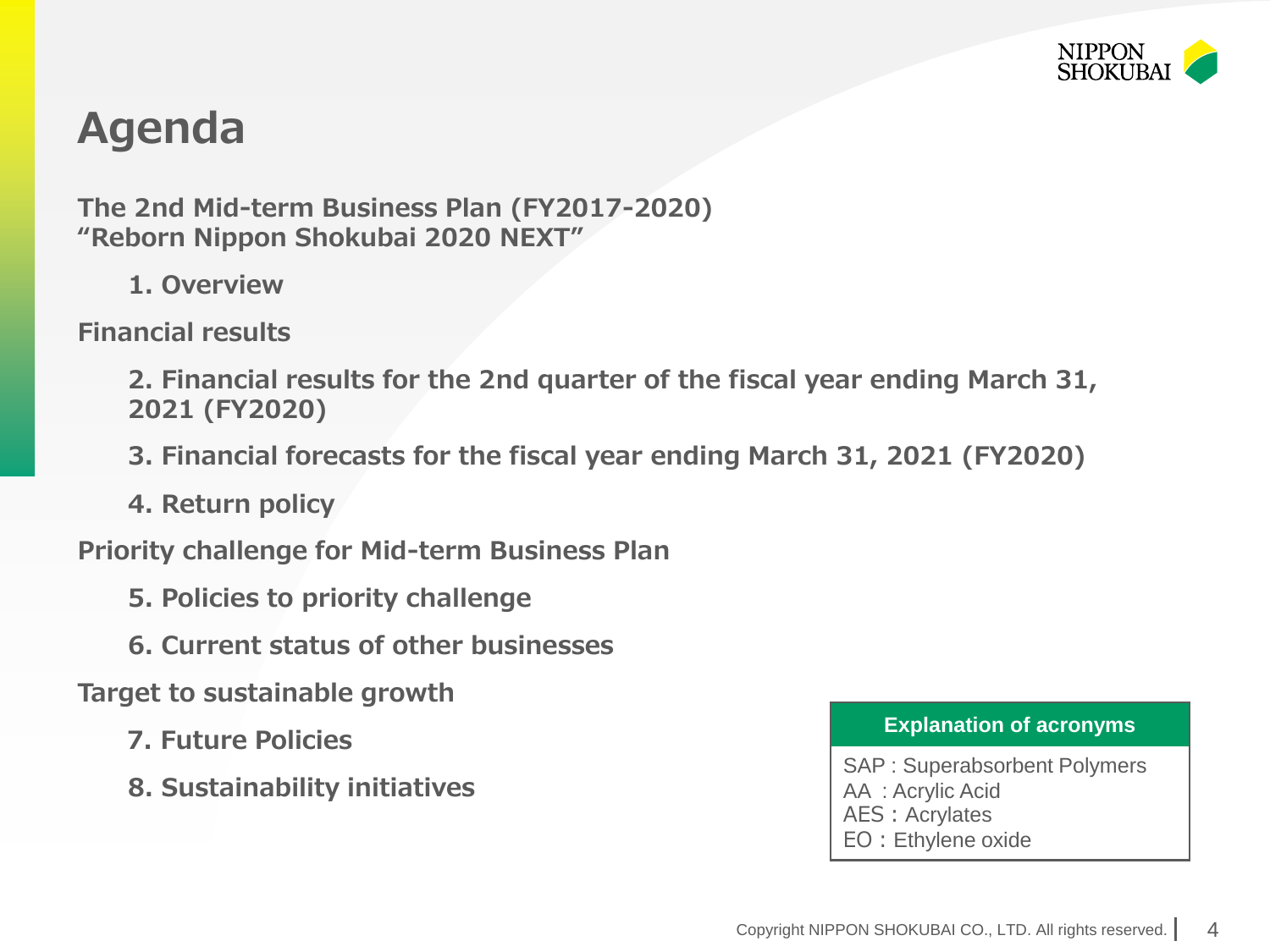

## **Agenda**

**The 2nd Mid-term Business Plan (FY2017-2020) "Reborn Nippon Shokubai 2020 NEXT"**

**1. Overview**

**Financial results**

**2. Financial results for the 2nd quarter of the fiscal year ending March 31, 2021 (FY2020)**

- **3. Financial forecasts for the fiscal year ending March 31, 2021 (FY2020)**
- **4. Return policy**

**Priority challenge for Mid-term Business Plan**

- **5. Policies to priority challenge**
- **6. Current status of other businesses**

**Target to sustainable growth** 

- **7. Future Policies**
- **8. Sustainability initiatives**

#### **Explanation of acronyms**

SAP : Superabsorbent Polymers AA : Acrylic Acid AES: Acrylates EO:Ethylene oxide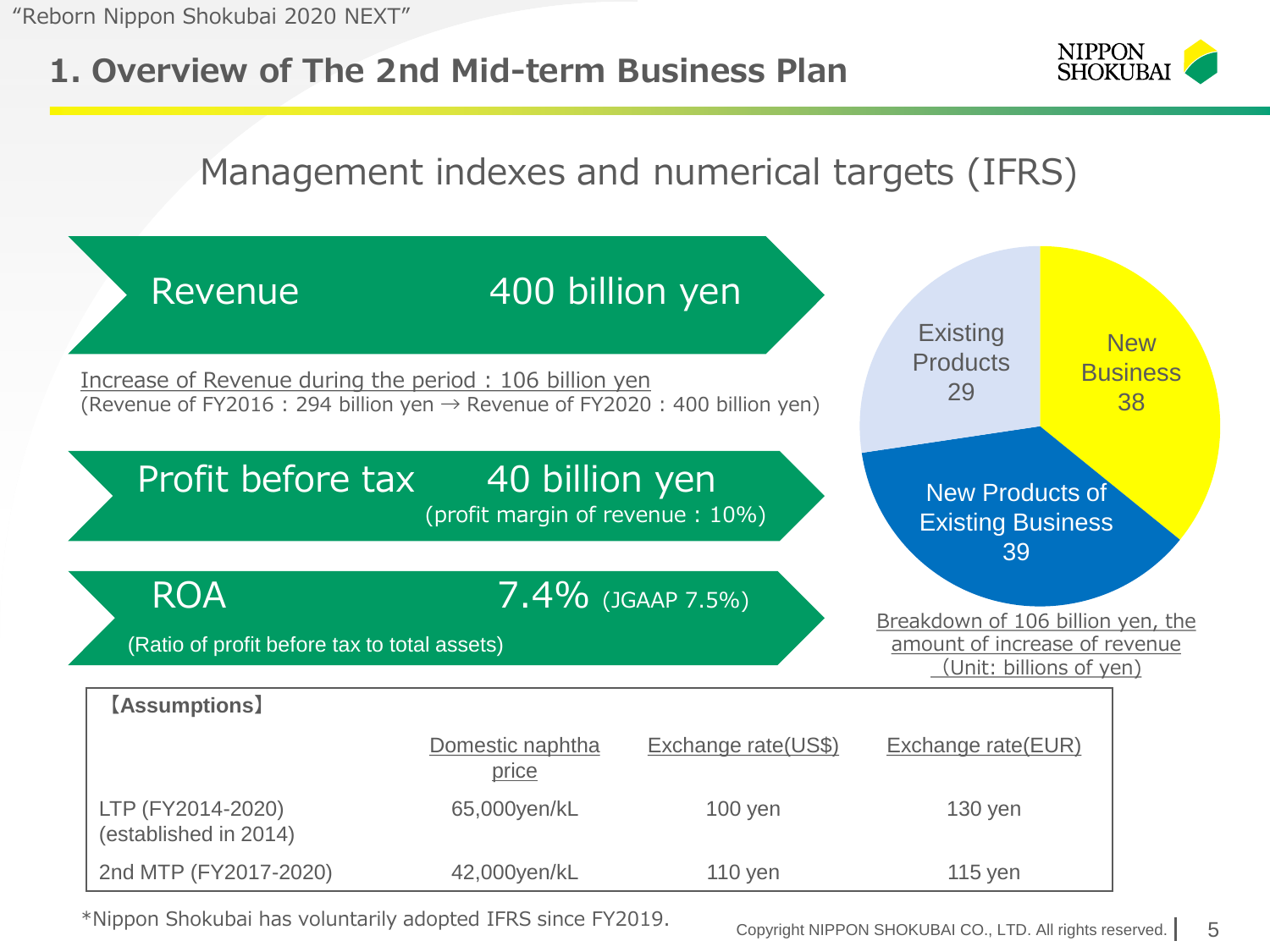### **1. Overview of The 2nd Mid-term Business Plan**



### Management indexes and numerical targets (IFRS)



\*Nippon Shokubai has voluntarily adopted IFRS since FY2019.

Copyright NIPPON SHOKUBAI CO., LTD. All rights reserved. 5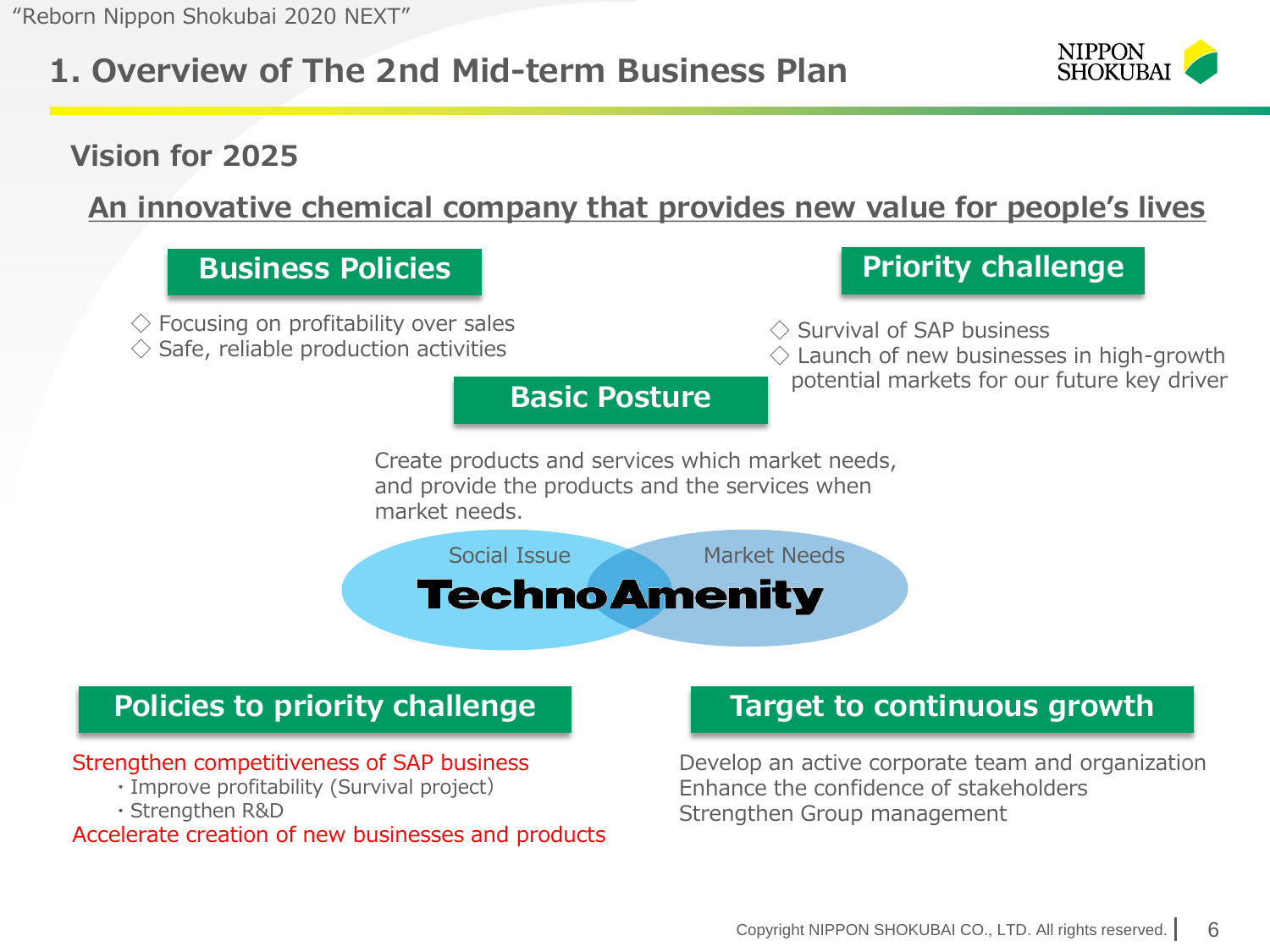### **1. Overview of The 2nd Mid-term Business Plan**



### **Vision for 2025**

**An innovative chemical company that provides new value for people's lives**



#### Strengthen competitiveness of SAP business

- ・Improve profitability (Survival project)
- ・Strengthen R&D

Accelerate creation of new businesses and products

Develop an active corporate team and organization Enhance the confidence of stakeholders Strengthen Group management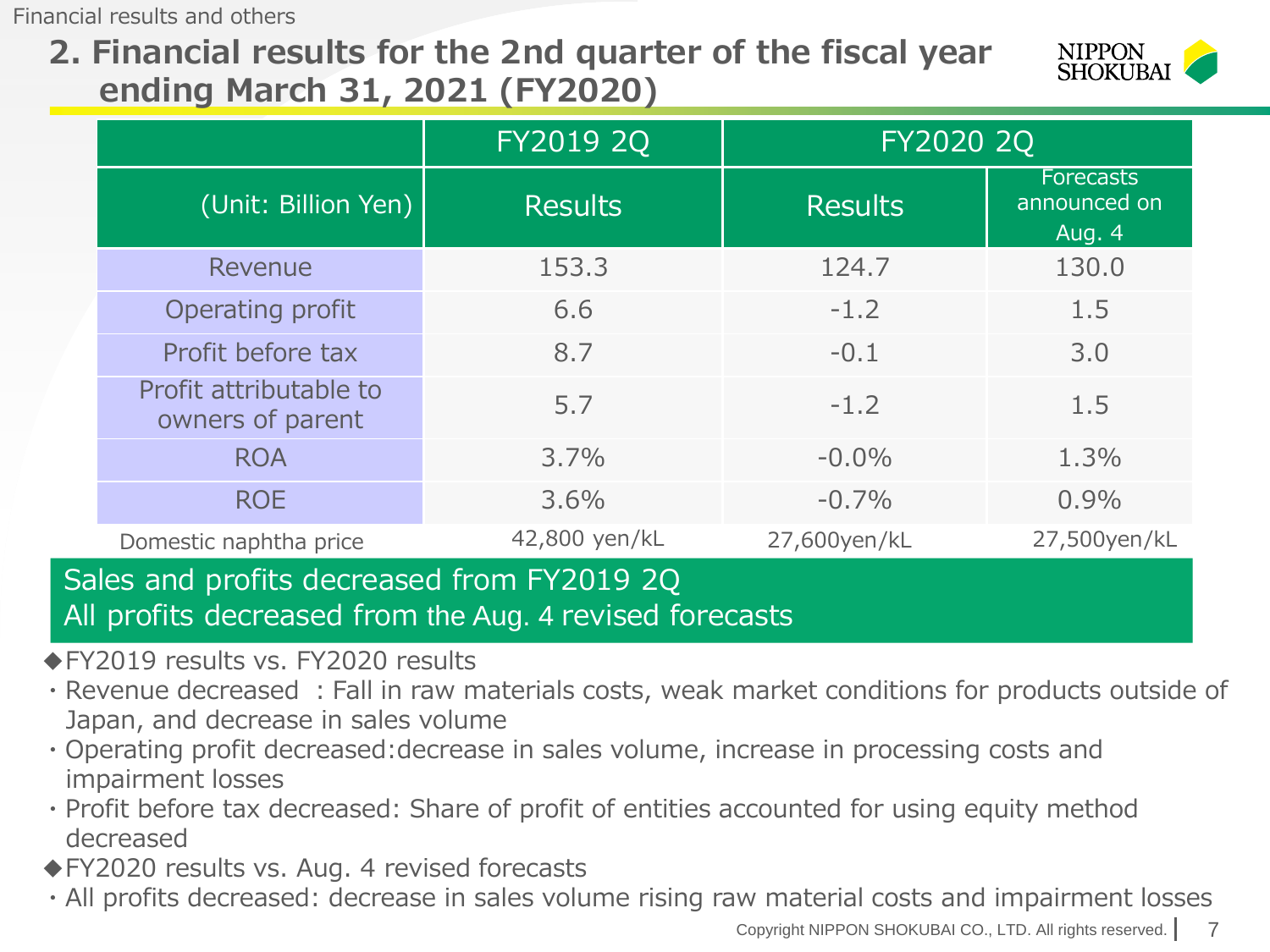Financial results and others

**2. Financial results for the 2nd quarter of the fiscal year ending March 31, 2021 (FY2020)** 



|                                            | FY2019 2Q      |                | FY2020 2Q                                         |  |
|--------------------------------------------|----------------|----------------|---------------------------------------------------|--|
| (Unit: Billion Yen)                        | <b>Results</b> | <b>Results</b> | <b>Forecasts</b><br>announced on<br><b>Aug. 4</b> |  |
| Revenue                                    | 153.3          | 124.7          | 130.0                                             |  |
| Operating profit                           | 6.6            | $-1.2$         | 1.5                                               |  |
| Profit before tax                          | 8.7            | $-0.1$         | 3.0                                               |  |
| Profit attributable to<br>owners of parent | 5.7            | $-1.2$         | 1.5                                               |  |
| <b>ROA</b>                                 | 3.7%           | $-0.0\%$       | 1.3%                                              |  |
| <b>ROE</b>                                 | 3.6%           | $-0.7\%$       | 0.9%                                              |  |
| Domestic naphtha price                     | 42,800 yen/kL  | 27,600yen/kL   | 27,500yen/kL                                      |  |

#### Sales and profits decreased from FY2019 2Q All profits decreased from the Aug. 4 revised forecasts

- ◆FY2019 results vs. FY2020 results
- ・Revenue decreased :Fall in raw materials costs, weak market conditions for products outside of Japan, and decrease in sales volume
- ・Operating profit decreased:decrease in sales volume, increase in processing costs and impairment losses
- ・Profit before tax decreased: Share of profit of entities accounted for using equity method decreased
- ◆FY2020 results vs. Aug. 4 revised forecasts
- ・All profits decreased: decrease in sales volume rising raw material costs and impairment losses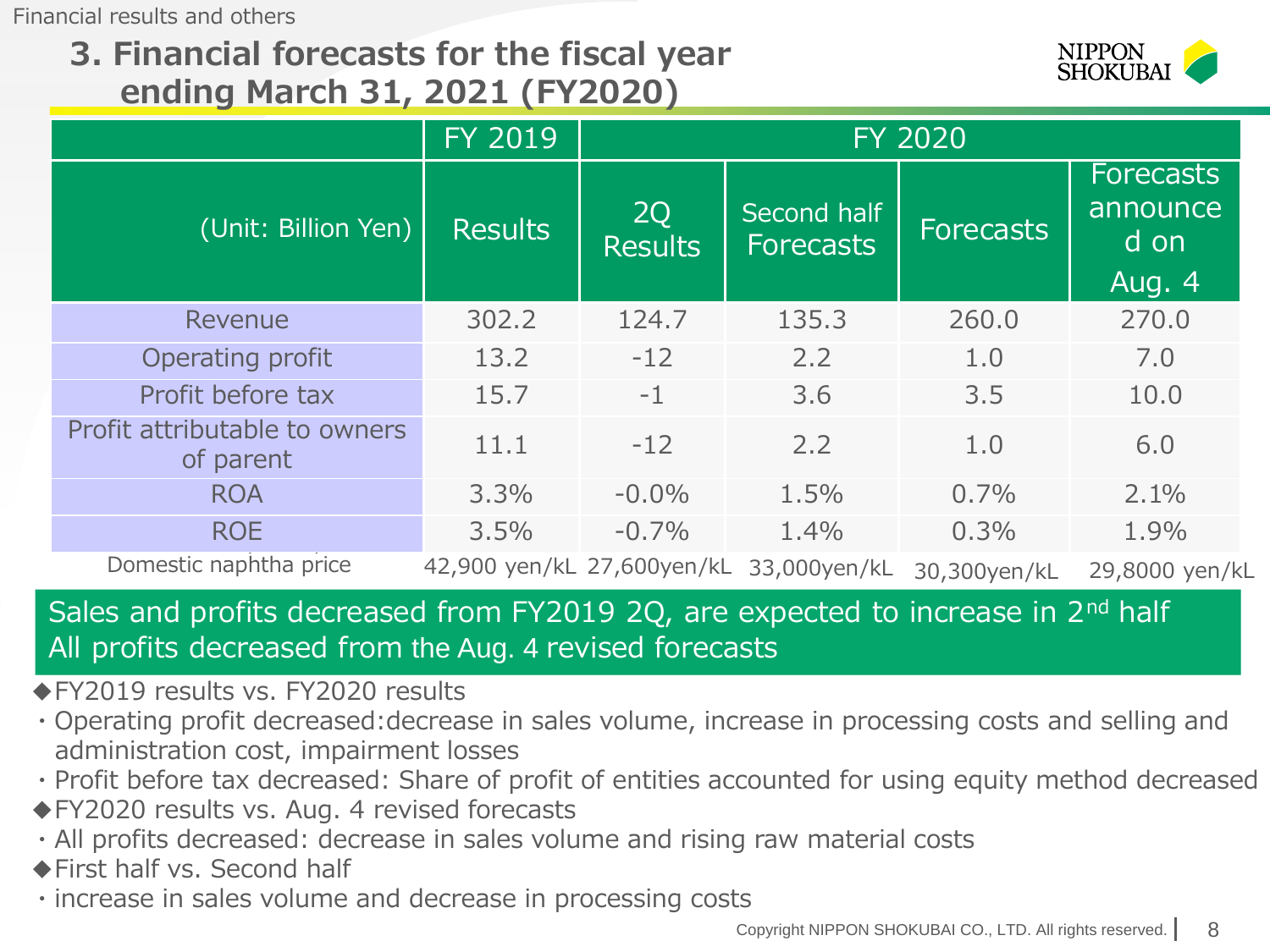Financial results and others

### **3. Financial forecasts for the fiscal year ending March 31, 2021 (FY2020)**



|                                            | <b>FY 2019</b> | <b>FY 2020</b>              |                                         |              |                                                |
|--------------------------------------------|----------------|-----------------------------|-----------------------------------------|--------------|------------------------------------------------|
| (Unit: Billion Yen)                        | <b>Results</b> | <b>2Q</b><br><b>Results</b> | Second half<br><b>Forecasts</b>         | Forecasts    | <b>Forecasts</b><br>announce<br>d on<br>Aug. 4 |
| Revenue                                    | 302.2          | 124.7                       | 135.3                                   | 260.0        | 270.0                                          |
| Operating profit                           | 13.2           | $-12$                       | 2.2                                     | 1.0          | 7.0                                            |
| Profit before tax                          | 15.7           | $-1$                        | 3.6                                     | 3.5          | 10.0                                           |
| Profit attributable to owners<br>of parent | 11.1           | $-12$                       | 2.2                                     | 1.0          | 6.0                                            |
| <b>ROA</b>                                 | 3.3%           | $-0.0\%$                    | 1.5%                                    | 0.7%         | 2.1%                                           |
| <b>ROE</b>                                 | 3.5%           | $-0.7\%$                    | 1.4%                                    | 0.3%         | 1.9%                                           |
| Domestic naphtha price                     |                |                             | 42,900 yen/kL 27,600yen/kL 33,000yen/kL | 30,300yen/kL | 29,8000 yen/kL                                 |

### Sales and profits decreased from FY2019 2Q, are expected to increase in 2<sup>nd</sup> half All profits decreased from the Aug. 4 revised forecasts

◆FY2019 results vs. FY2020 results

- ・Operating profit decreased:decrease in sales volume, increase in processing costs and selling and administration cost, impairment losses
- ・Profit before tax decreased: Share of profit of entities accounted for using equity method decreased
- ◆FY2020 results vs. Aug. 4 revised forecasts
- ・All profits decreased: decrease in sales volume and rising raw material costs
- ◆First half vs. Second half
- ・increase in sales volume and decrease in processing costs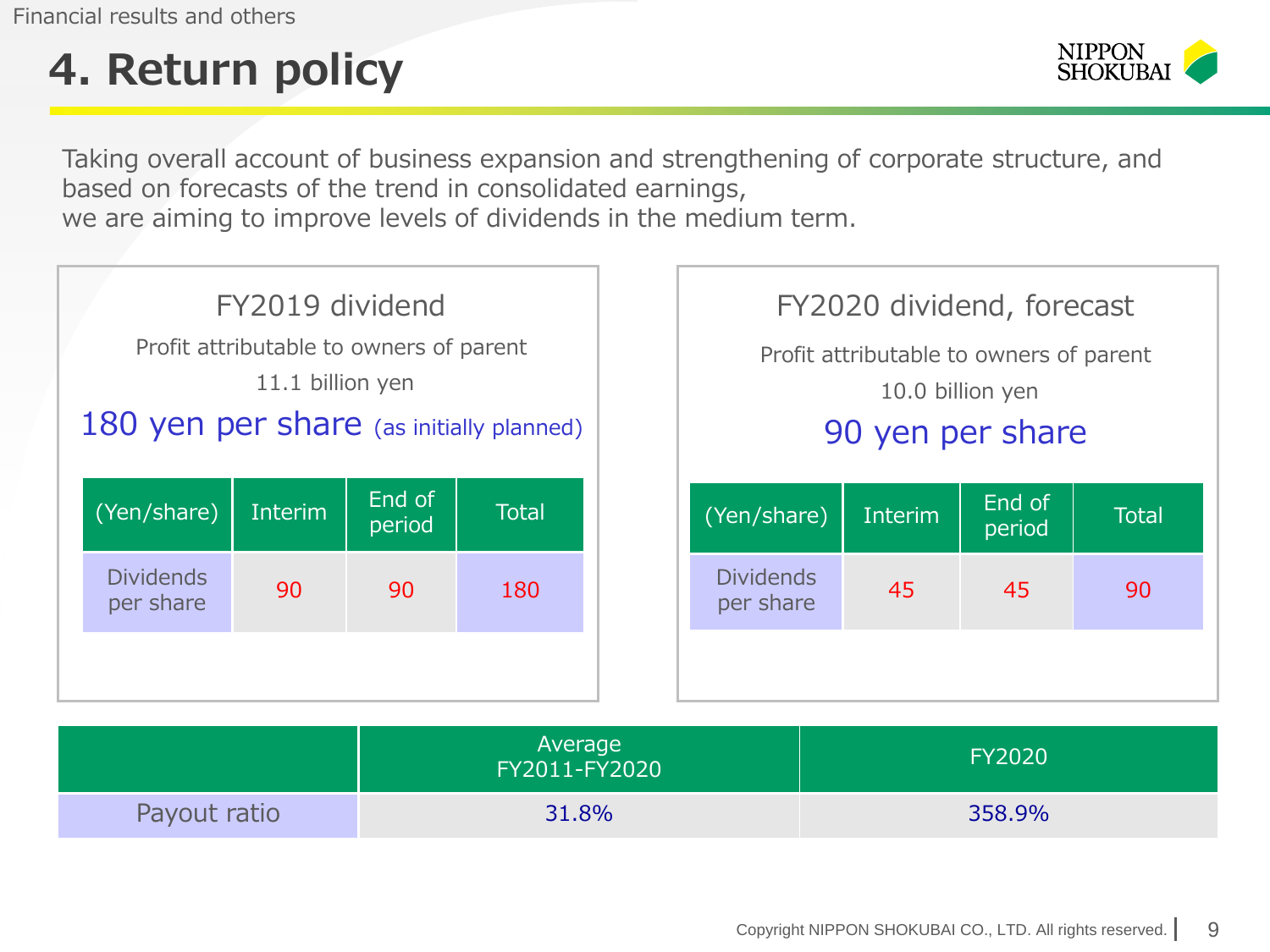Financial results and others

# **4. Return policy**



Taking overall account of business expansion and strengthening of corporate structure, and based on forecasts of the trend in consolidated earnings, we are aiming to improve levels of dividends in the medium term.



|              | Average<br>FY2011-FY2020 | <b>FY2020</b> |
|--------------|--------------------------|---------------|
| Payout ratio | 31.8%                    | 358.9%        |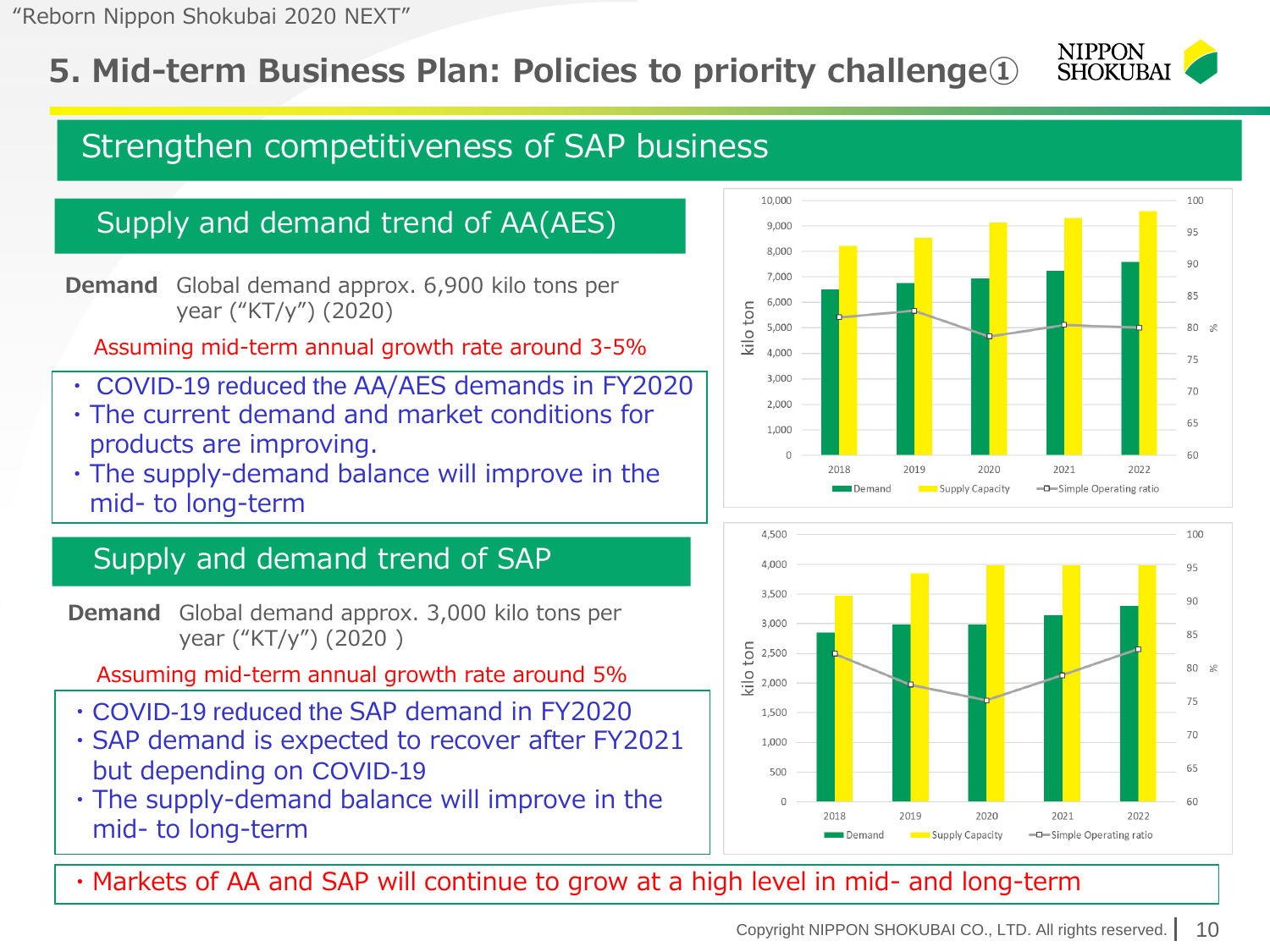### **5. Mid-term Business Plan: Policies to priority challenge①**

#### **NIPPON SHOKUBA**

### Strengthen competitiveness of SAP business

### Supply and demand trend of AA(AES)

**Demand** Global demand approx. 6,900 kilo tons per year ("KT/y") (2020)

Assuming mid-term annual growth rate around 3-5%

- ・ COVID-19 reduced the AA/AES demands in FY2020
- ・The current demand and market conditions for products are improving.
- ・The supply-demand balance will improve in the mid- to long-term

### Supply and demand trend of SAP

**Demand** Global demand approx. 3,000 kilo tons per year ("KT/y") (2020 )

Assuming mid-term annual growth rate around 5%

- ・COVID-19 reduced the SAP demand in FY2020
- ・SAP demand is expected to recover after FY2021 but depending on COVID-19
- ・The supply-demand balance will improve in the mid- to long-term





・Markets of AA and SAP will continue to grow at a high level in mid- and long-term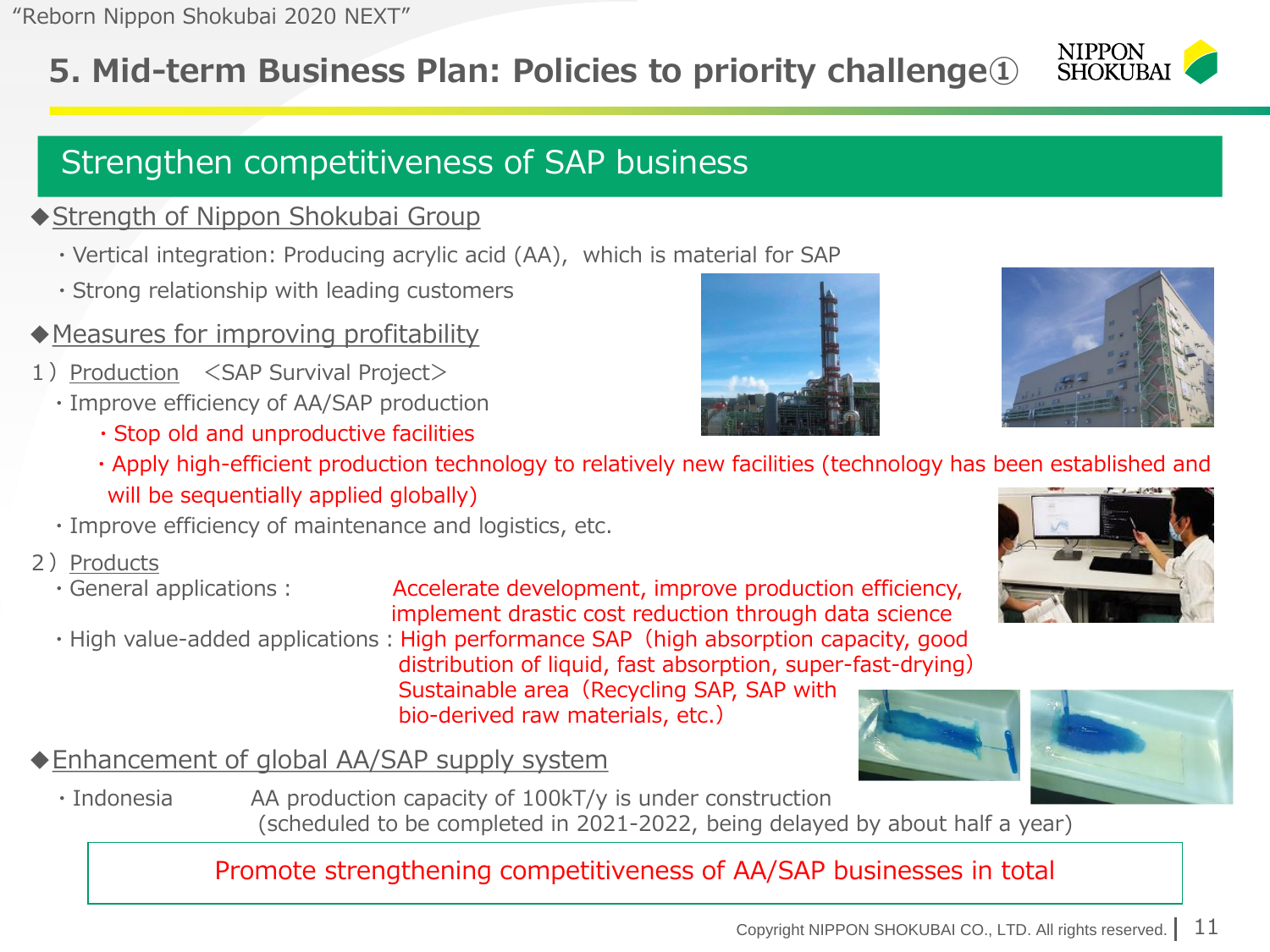### **5. Mid-term Business Plan: Policies to priority challenge①**

### Strengthen competitiveness of SAP business

#### ◆ Strength of Nippon Shokubai Group

- ・Vertical integration: Producing acrylic acid (AA), which is material for SAP
- ・Strong relationship with leading customers
- ◆Measures for improving profitability
- 1) Production <SAP Survival Project>
	- ・Improve efficiency of AA/SAP production
		- ・Stop old and unproductive facilities
		- ・Apply high-efficient production technology to relatively new facilities (technology has been established and will be sequentially applied globally)
	- ・Improve efficiency of maintenance and logistics, etc.
- 2) Products
	-
	-

・General applications: Accelerate development, improve production efficiency, implement drastic cost reduction through data science • High value-added applications: High performance SAP (high absorption capacity, good distribution of liquid, fast absorption, super-fast-drying) Sustainable area (Recycling SAP, SAP with bio-derived raw materials, etc.)

◆Enhancement of global AA/SAP supply system

・Indonesia AA production capacity of 100kT/y is under construction (scheduled to be completed in 2021-2022, being delayed by about half a year)

#### Promote strengthening competitiveness of AA/SAP businesses in total











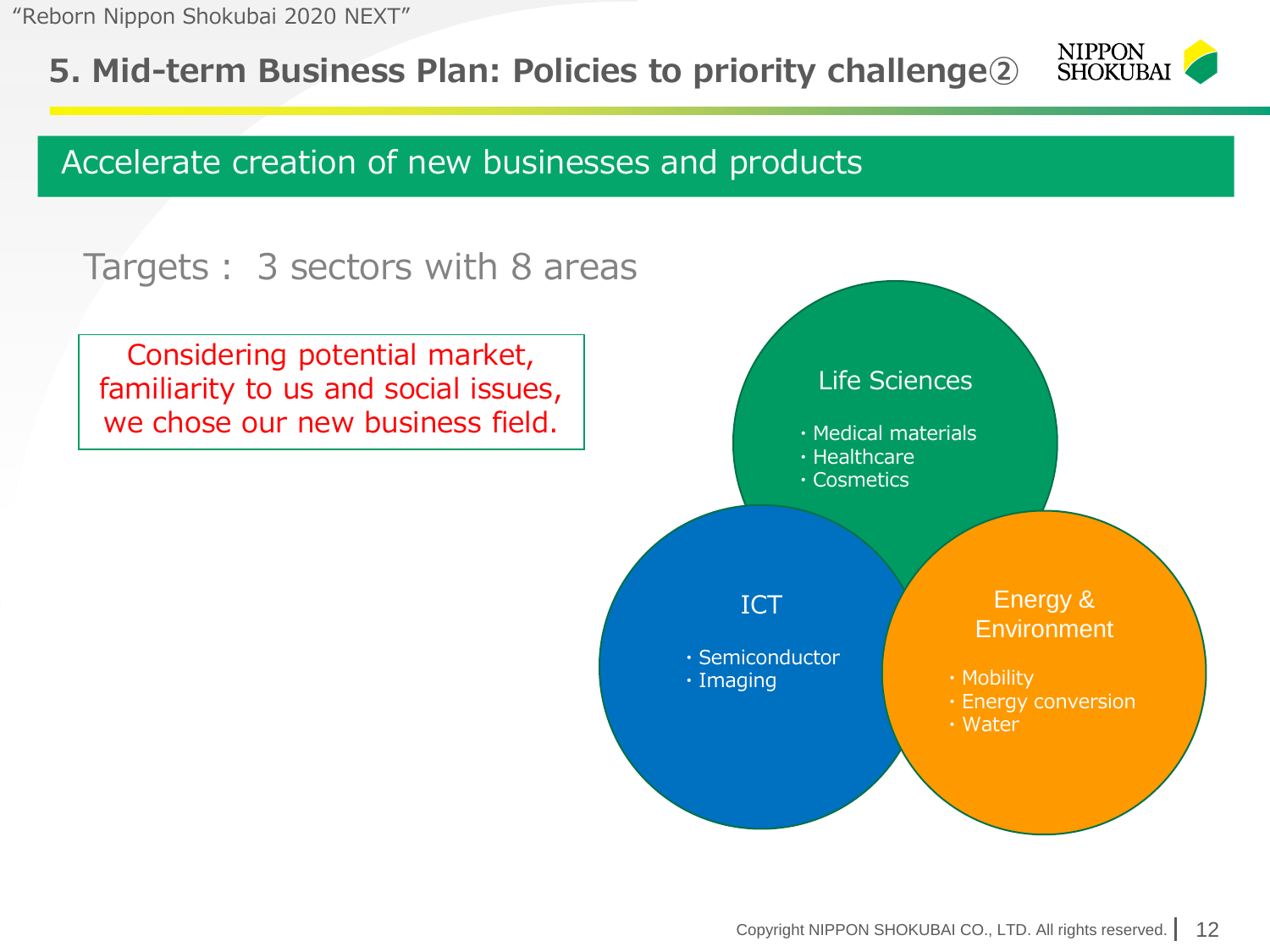**5. Mid-term Business Plan: Policies to priority challenge②**



### Accelerate creation of new businesses and products

### Targets: 3 sectors with 8 areas

Considering potential market, familiarity to us and social issues, we chose our new business field.

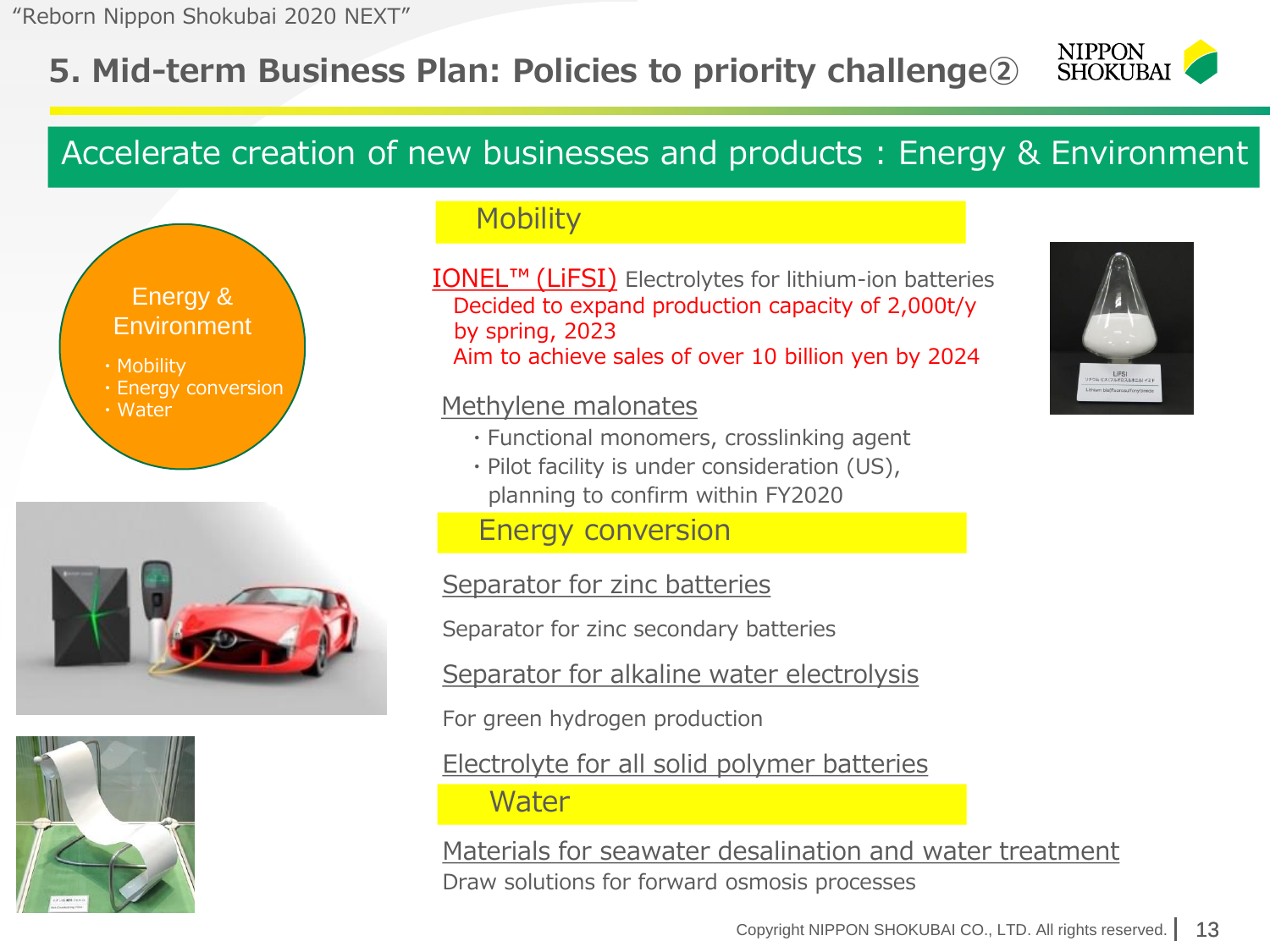### **5. Mid-term Business Plan: Policies to priority challenge②**



### Accelerate creation of new businesses and products : Energy & Environment





#### **Mobility**

IONEL™ (LiFSI) Electrolytes for lithium-ion batteries Decided to expand production capacity of 2,000t/y by spring, 2023 Aim to achieve sales of over 10 billion yen by 2024

#### Methylene malonates

- ・Functional monomers, crosslinking agent
- ・Pilot facility is under consideration (US), planning to confirm within FY2020

#### Energy conversion

Separator for zinc batteries

Separator for zinc secondary batteries

Separator for alkaline water electrolysis

For green hydrogen production

Electrolyte for all solid polymer batteries

#### **Water**

Materials for seawater desalination and water treatment Draw solutions for forward osmosis processes

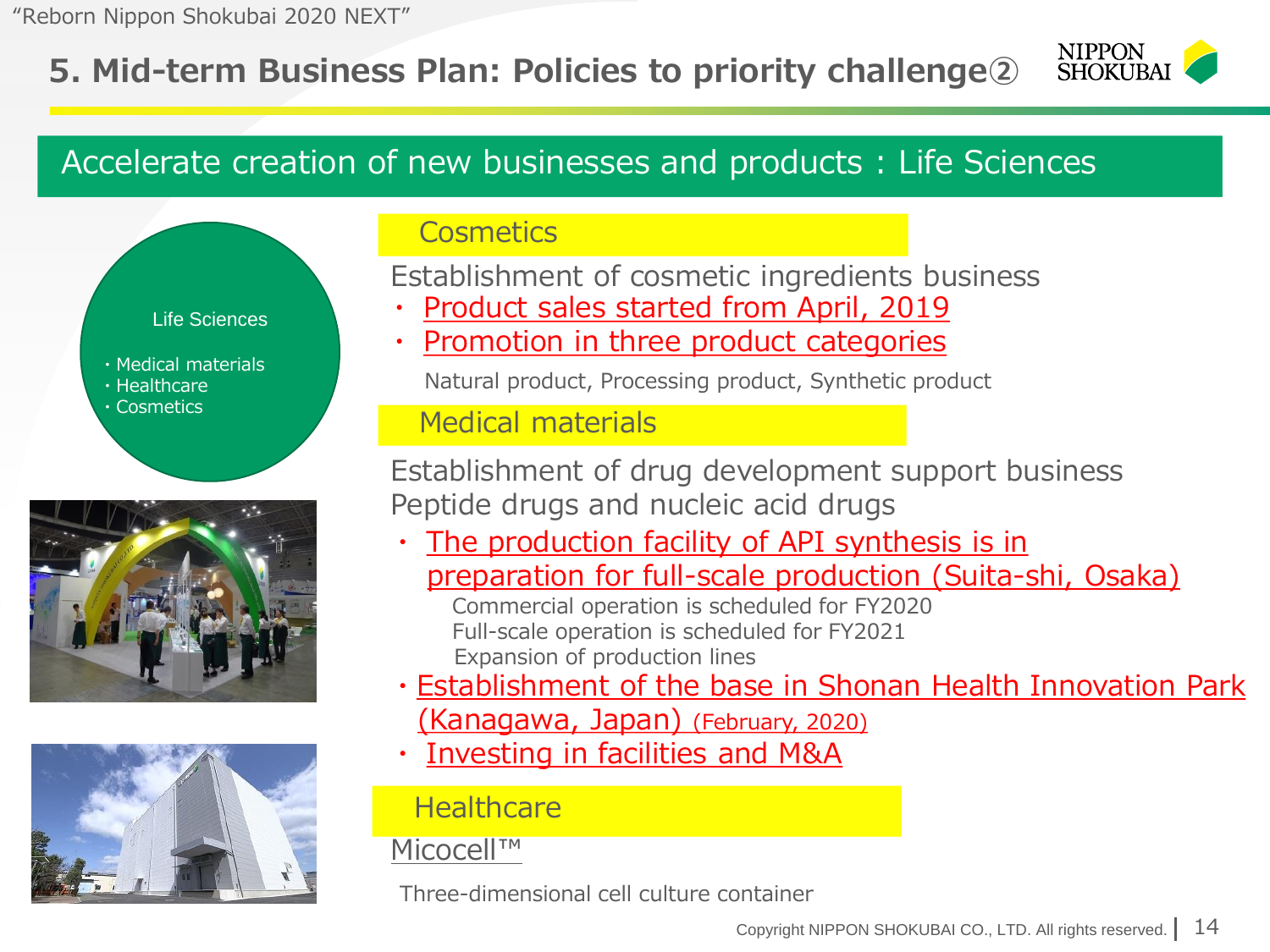### **5. Mid-term Business Plan: Policies to priority challenge②**



### Accelerate creation of new businesses and products : Life Sciences







#### **Cosmetics**

Establishment of cosmetic ingredients business

- Product sales started from April, 2019
- Promotion in three product categories

Natural product, Processing product, Synthetic product

#### Medical materials

Establishment of drug development support business Peptide drugs and nucleic acid drugs

- The production facility of API synthesis is in preparation for full-scale production (Suita-shi, Osaka) Commercial operation is scheduled for FY2020 Full-scale operation is scheduled for FY2021 Expansion of production lines
- ・Establishment of the base in Shonan Health Innovation Park
	- (Kanagawa, Japan) (February, 2020)
- Investing in facilities and M&A

#### **Healthcare**

#### Micocell™

Three-dimensional cell culture container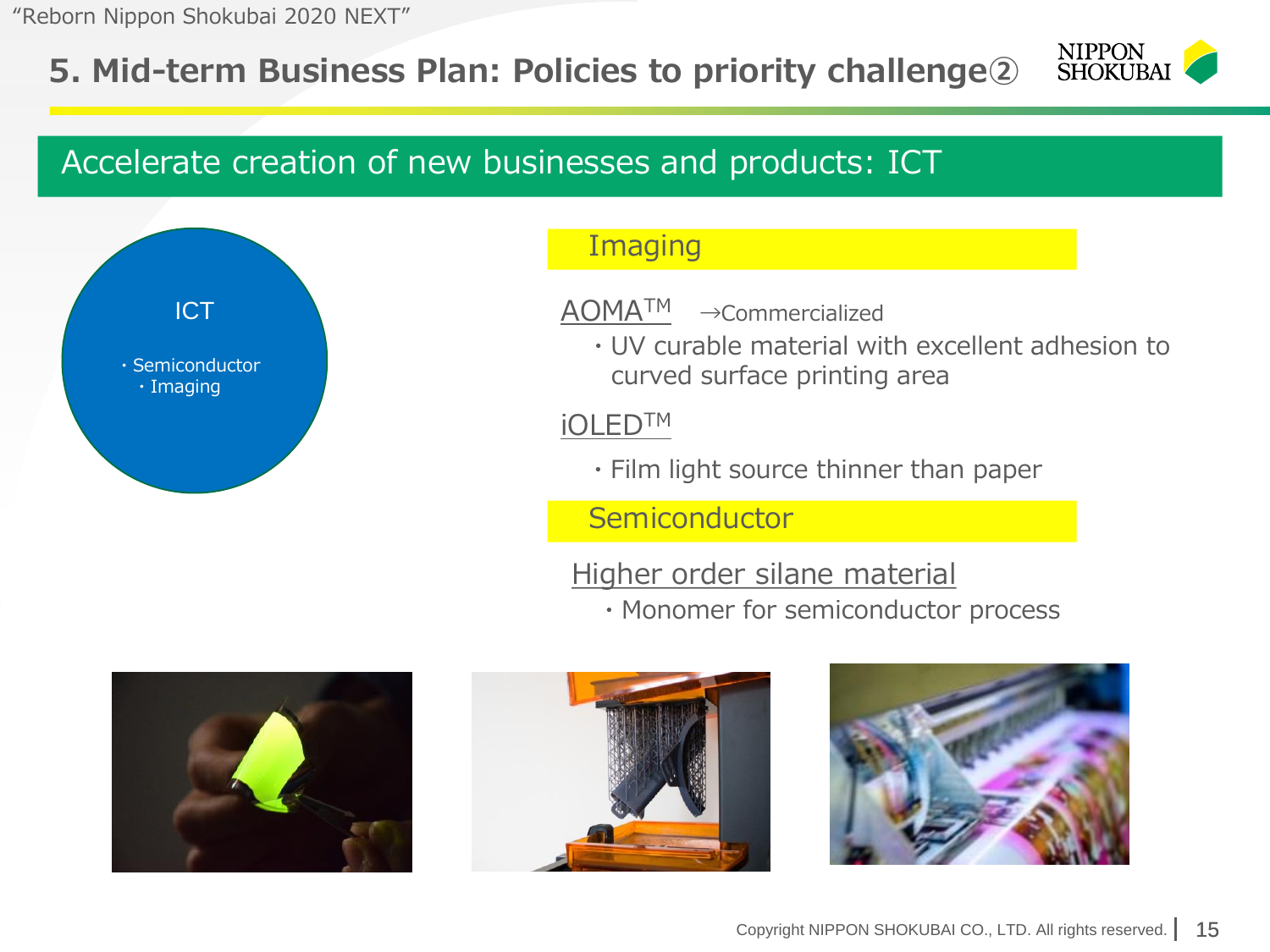### **5. Mid-term Business Plan: Policies to priority challenge②**



### Accelerate creation of new businesses and products: ICT



#### **Imaging**

AOMATM →Commercialized

・UV curable material with excellent adhesion to curved surface printing area

iOLEDTM

・Film light source thinner than paper

**Semiconductor** 

Higher order silane material

・Monomer for semiconductor process





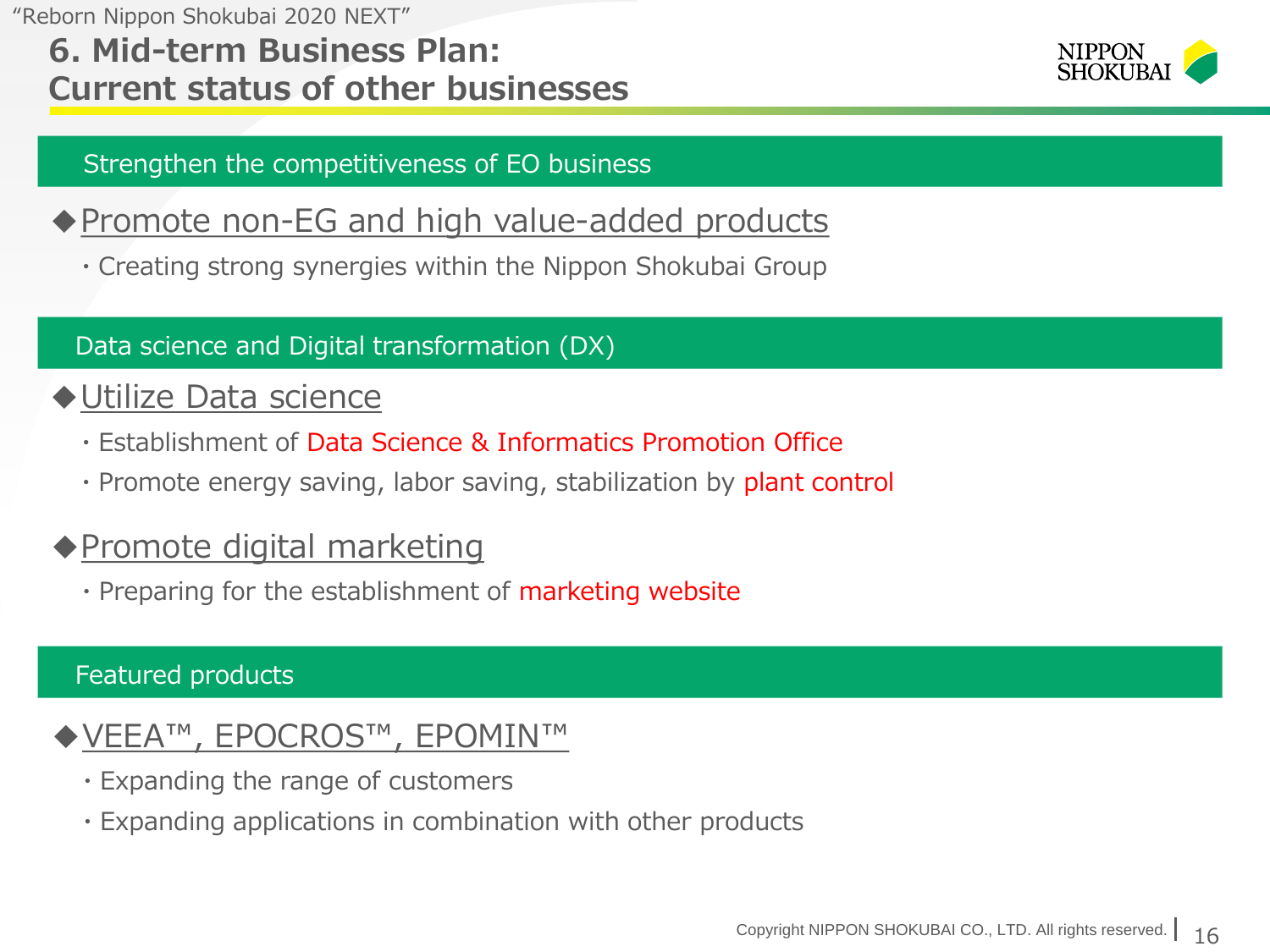### **6. Mid-term Business Plan: Current status of other businesses**



#### Strengthen the competitiveness of EO business

### ◆ Promote non-EG and high value-added products

・Creating strong synergies within the Nippon Shokubai Group

#### Data science and Digital transformation (DX)

### ◆ <u>Utilize Data science</u>

- ・Establishment of Data Science & Informatics Promotion Office
- Promote energy saving, labor saving, stabilization by plant control

### ◆Promote digital marketing

・Preparing for the establishment of marketing website

#### Featured products

### ◆VEEA™, EPOCROS™, EPOMIN™

- ・Expanding the range of customers
- ・Expanding applications in combination with other products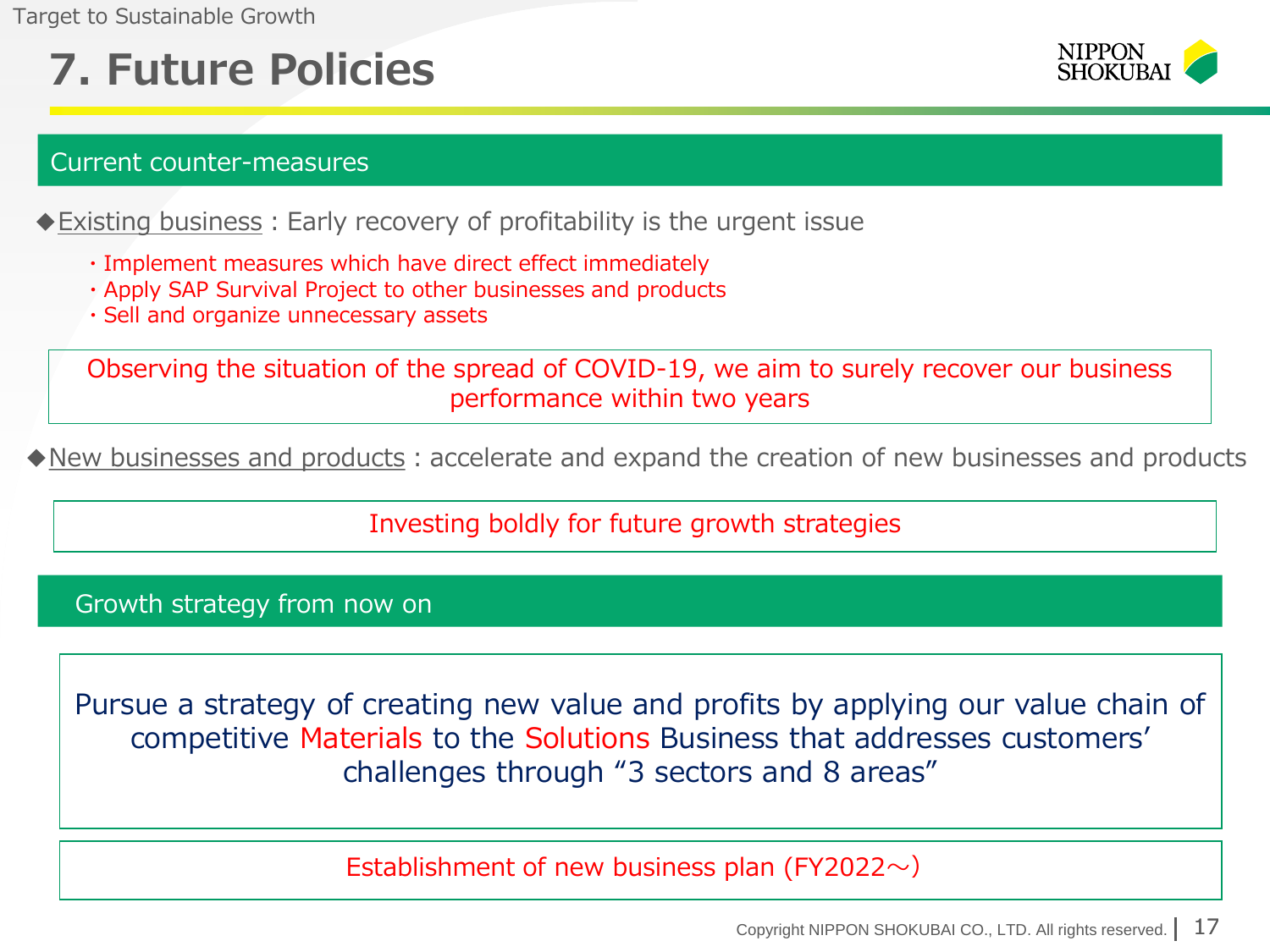Target to Sustainable Growth

## **7. Future Policies**



#### Current counter-measures

◆ Existing business: Early recovery of profitability is the urgent issue

- ・Implement measures which have direct effect immediately
- ・Apply SAP Survival Project to other businesses and products
- ・Sell and organize unnecessary assets

Observing the situation of the spread of COVID-19, we aim to surely recover our business performance within two years

◆New businesses and products: accelerate and expand the creation of new businesses and products

Investing boldly for future growth strategies

Growth strategy from now on

Pursue a strategy of creating new value and profits by applying our value chain of competitive Materials to the Solutions Business that addresses customers' challenges through "3 sectors and 8 areas"

Establishment of new business plan (FY2022 $\sim$ )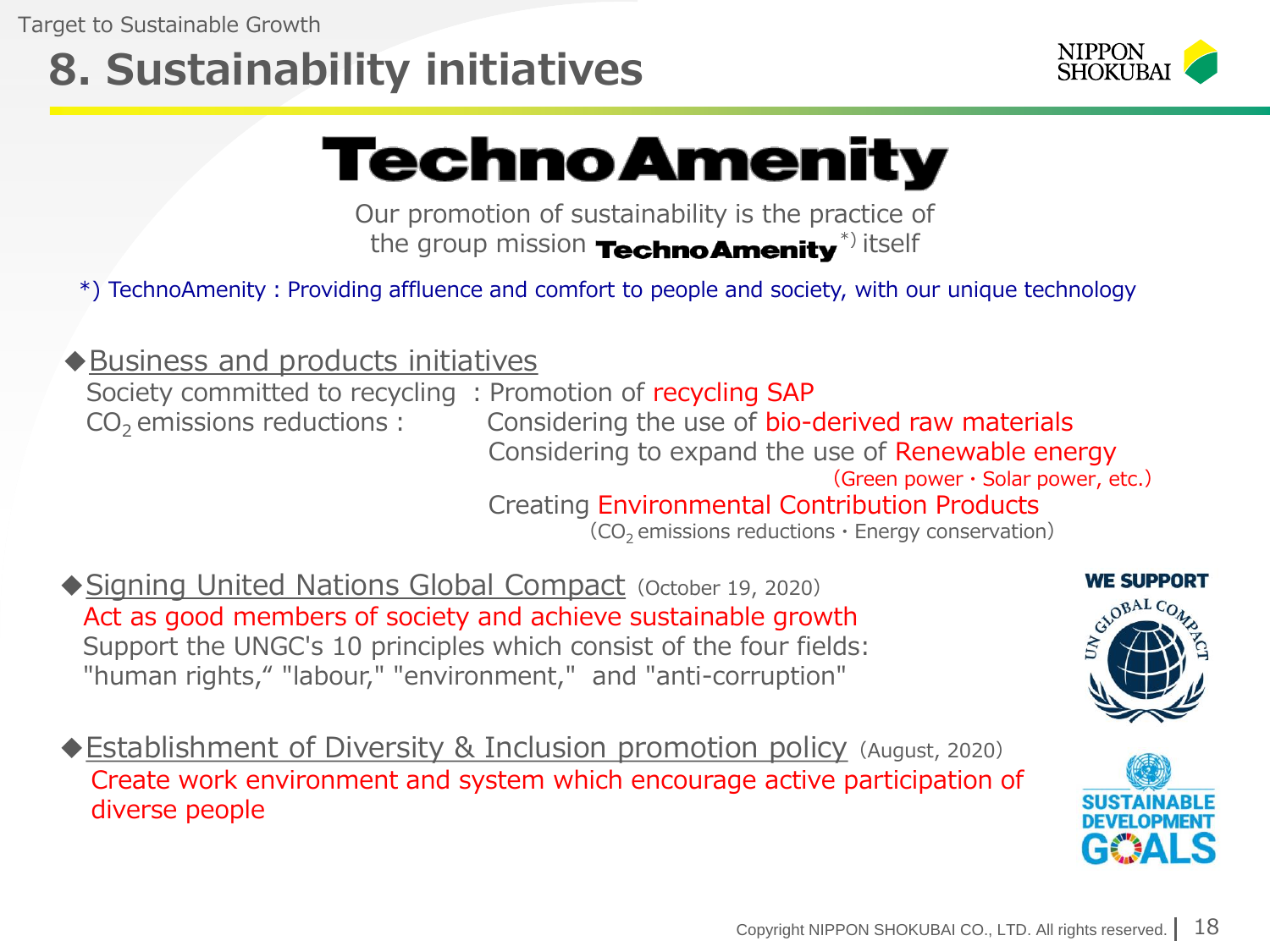# **8. Sustainability initiatives**



# **TechnoAmenity**

Our promotion of sustainability is the practice of the group mission **TechnoAmenity**<sup>\*)</sup> itself

\*) TechnoAmenity:Providing affluence and comfort to people and society, with our unique technology

◆Business and products initiatives

Society committed to recycling: Promotion of recycling SAP

 $CO<sub>2</sub>$  emissions reductions: Considering the use of bio-derived raw materials Considering to expand the use of Renewable energy (Green power・Solar power, etc.)

Creating Environmental Contribution Products

 $(CO<sub>2</sub>$  emissions reductions  $\cdot$  Energy conservation)

- ◆Signing United Nations Global Compact (October 19, 2020) Act as good members of society and achieve sustainable growth Support the UNGC's 10 principles which consist of the four fields: "human rights," "labour," "environment," and "anti-corruption"
- ◆Establishment of Diversity & Inclusion promotion policy (August, 2020) Create work environment and system which encourage active participation of diverse people